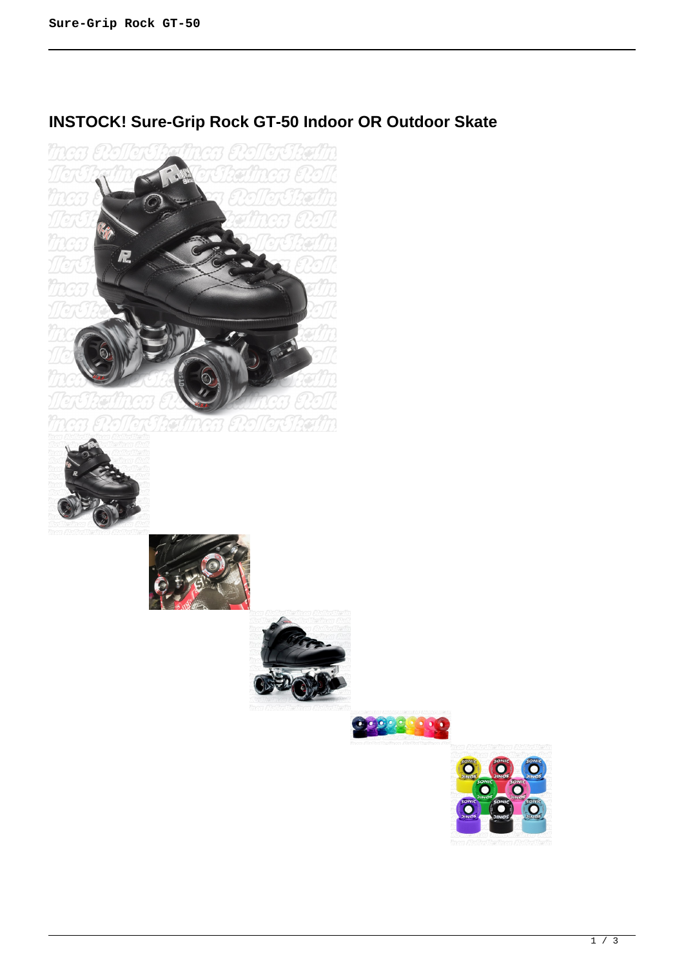# **INSTOCK! Sure-Grip Rock GT-50 Indoor OR Outdoor Skate**